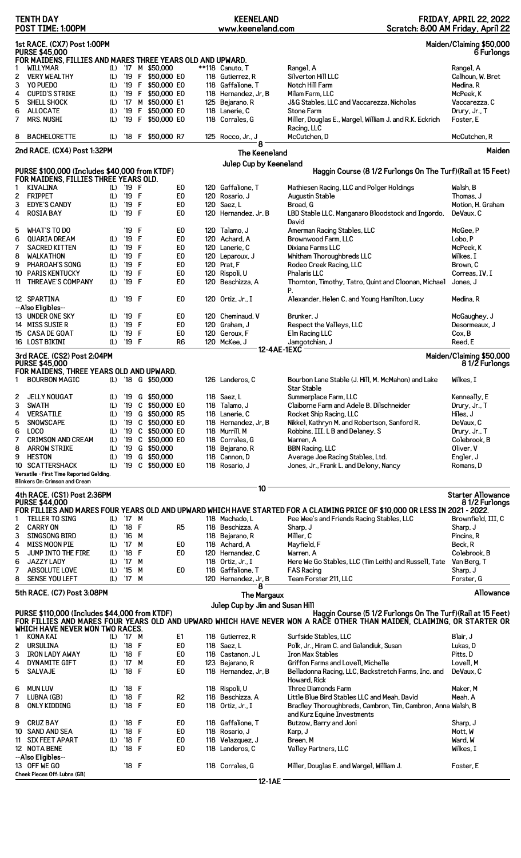|                | <b>TENTH DAY</b><br>POST TIME: 1:00PM                                                            |            |                                 |              |                    |                      |  | <b>KEENELAND</b><br>www.keeneland.com  |                    | Scratch: 8:00 AM Friday, April 22                                                                                                                                                      | <b>FRIDAY, APRIL 22, 2022</b>             |
|----------------|--------------------------------------------------------------------------------------------------|------------|---------------------------------|--------------|--------------------|----------------------|--|----------------------------------------|--------------------|----------------------------------------------------------------------------------------------------------------------------------------------------------------------------------------|-------------------------------------------|
|                | 1st RACE. (CX7) Post 1:00PM<br>Maiden/Claiming \$50,000<br><b>PURSE \$45,000</b><br>6 Furlongs   |            |                                 |              |                    |                      |  |                                        |                    |                                                                                                                                                                                        |                                           |
|                | FOR MAIDENS, FILLIES AND MARES THREE YEARS OLD AND UPWARD.                                       |            |                                 |              | (L) '17 M \$50,000 |                      |  | **118 Canuto. T                        |                    |                                                                                                                                                                                        |                                           |
| 1              | <b>WILLYMAR</b><br><b>VERY WEALTHY</b>                                                           |            |                                 |              | '19 F \$50,000 E0  |                      |  |                                        |                    | Rangel, A<br>Silverton Hill LLC                                                                                                                                                        | Rangel, A                                 |
| 2<br>3         | YO PUEDO                                                                                         | (L)<br>(L) |                                 |              | '19 F \$50,000 E0  |                      |  | 118 Gutierrez, R<br>118 Gaffalione. T  |                    | Notch Hill Farm                                                                                                                                                                        | Calhoun, W. Bret<br>Medina, R             |
| 4              | <b>CUPID'S STRIKE</b>                                                                            | (L)        |                                 |              | '19 F \$50,000 E0  |                      |  | 118 Hernandez, Jr, B                   |                    | Milam Farm, LLC                                                                                                                                                                        | McPeek, K                                 |
| 5              | SHELL SHOCK                                                                                      | (L)        | $^{\prime}$ 17                  |              | M \$50,000 E1      |                      |  | 125 Bejarano, R                        |                    | J&G Stables, LLC and Vaccarezza, Nicholas                                                                                                                                              | Vaccarezza, C                             |
| 6              | <b>ALLOCATE</b>                                                                                  | (L)        | '19                             | $\mathbf{F}$ | \$50,000 E0        |                      |  | 118 Lanerie, C                         |                    | <b>Stone Farm</b>                                                                                                                                                                      | Drury, Jr., T                             |
| 7              | <b>MRS. NUSHI</b>                                                                                | (L)        |                                 |              | '19 F \$50,000 E0  |                      |  | 118 Corrales, G                        |                    | Miller, Douglas E., Wargel, William J. and R.K. Eckrich<br>Racing, LLC                                                                                                                 | Foster, E                                 |
| 8              | <b>BACHELORETTE</b>                                                                              | (L)        |                                 |              | '18 F \$50,000 R7  |                      |  | 125 Rocco, Jr., J<br>8                 |                    | McCutchen, D                                                                                                                                                                           | McCutchen, R                              |
|                | 2nd RACE. (CX4) Post 1:32PM                                                                      |            |                                 |              |                    |                      |  | <b>The Keeneland</b>                   |                    |                                                                                                                                                                                        | Maiden                                    |
|                | PURSE \$100,000 (Includes \$40,000 from KTDF)<br>FOR MAIDENS, FILLIES THREE YEARS OLD.           |            |                                 |              |                    |                      |  | Julep Cup by Keeneland                 |                    | Haggin Course (8 1/2 Furlongs On The Turf) (Rail at 15 Feet)                                                                                                                           |                                           |
| 1              | KIVALINA                                                                                         | (L)        | '19 F                           |              |                    | E <sub>0</sub>       |  | 120 Gaffalione. T                      |                    | Mathiesen Racing, LLC and Polger Holdings                                                                                                                                              | Walsh, B                                  |
| $\overline{c}$ | <b>FRIPPET</b>                                                                                   | (L)        | '19 F                           |              |                    | E0                   |  | 120 Rosario, J                         |                    | Augustin Stable                                                                                                                                                                        | Thomas, J                                 |
| 3              | <b>EDYE'S CANDY</b>                                                                              | (L)        | '19 F                           |              |                    | E <sub>0</sub>       |  | 120 Saez, L                            |                    | Broad, G                                                                                                                                                                               | Motion, H. Graham                         |
| 4              | <b>ROSIA BAY</b>                                                                                 | (L)        | '19 F                           |              |                    | E0                   |  | 120 Hernandez, Jr, B                   |                    | LBD Stable LLC, Manganaro Bloodstock and Ingordo,<br>David                                                                                                                             | DeVaux, C                                 |
| 5              | <b>WHAT'S TO DO</b>                                                                              |            | '19 F                           |              |                    | E0                   |  | 120 Talamo, J                          |                    | Amerman Racing Stables, LLC                                                                                                                                                            | McGee, P                                  |
| 6              | <b>QUARIA DREAM</b>                                                                              | (L)        | '19 F                           |              |                    | E <sub>0</sub>       |  | 120 Achard, A                          |                    | Brownwood Farm, LLC                                                                                                                                                                    | Lobo, P                                   |
| 7              | <b>SACRED KITTEN</b>                                                                             | (L)        | '19                             | F            |                    | E0                   |  | 120 Lanerie, C                         |                    | Dixiana Farms LLC                                                                                                                                                                      | McPeek, K                                 |
| 8              | <b>WALKATHON</b>                                                                                 | (L)        | '19                             | F            |                    | E <sub>0</sub>       |  | 120 Leparoux, J                        |                    | Whitham Thoroughbreds LLC                                                                                                                                                              | Wilkes, I                                 |
| 9              | PHAROAH'S SONG                                                                                   | (L)        | '19                             | F            |                    | E <sub>0</sub>       |  | 120 Prat, F                            |                    | Rodeo Creek Racing, LLC                                                                                                                                                                | Brown, C                                  |
|                | <b>10 PARIS KENTUCKY</b>                                                                         | (L)        | '19                             | F            |                    | E <sub>0</sub>       |  | 120 Rispoli, U                         |                    | Phalaris LLC                                                                                                                                                                           | Correas, IV, I                            |
| 11             | <b>THREAVE'S COMPANY</b>                                                                         | (L)        | '19 F                           |              |                    | E0                   |  | 120 Beschizza, A                       |                    | Thornton, Timothy, Tatro, Quint and Cloonan, Michael<br>Р.                                                                                                                             | Jones, J                                  |
|                | 12 SPARTINA<br>--Also Eligibles--                                                                | (L)        | '19 F                           |              |                    | E <sub>0</sub>       |  | 120 Ortiz, Jr., I                      |                    | Alexander, Helen C. and Young Hamilton, Lucy                                                                                                                                           | Medina, R                                 |
|                | 13 UNDER ONE SKY                                                                                 | (L)        | '19 F                           |              |                    | E0                   |  | 120 Cheminaud, V                       |                    | Brunker, J                                                                                                                                                                             | McGaughey, J                              |
|                | 14 MISS SUSIE R                                                                                  | (L)        | '19 F                           |              |                    | E <sub>0</sub>       |  | 120 Graham, J                          |                    | Respect the Valleys, LLC                                                                                                                                                               | Desormeaux, J                             |
|                | 15 CASA DE GOAT                                                                                  | (L)        | '19                             | F            |                    | E <sub>0</sub>       |  | 120 Geroux, F                          |                    | Elm Racing LLC                                                                                                                                                                         | Cox, B                                    |
|                | 16 LOST BIKINI                                                                                   | (L)        | '19 F                           |              |                    | R6                   |  | 120 McKee, J                           |                    | Jamgotchian, J                                                                                                                                                                         | Reed, E                                   |
|                |                                                                                                  |            |                                 |              |                    |                      |  |                                        | 12-4AE-1EXC        |                                                                                                                                                                                        |                                           |
|                | 3rd RACE. (CS2) Post 2:04PM<br><b>PURSE \$45,000</b><br>FOR MAIDENS, THREE YEARS OLD AND UPWARD. |            |                                 |              |                    |                      |  |                                        |                    |                                                                                                                                                                                        | Maiden/Claiming \$50,000<br>81/2 Furlongs |
| $\mathbf{1}$   | <b>BOURBON MAGIC</b>                                                                             |            |                                 |              | (L) '18 G \$50,000 |                      |  | 126 Landeros, C                        |                    | Bourbon Lane Stable (J. Hill, M. McMahon) and Lake<br><b>Star Stable</b>                                                                                                               | Wilkes, I                                 |
| 2              | <b>JELLY NOUGAT</b>                                                                              | (L)        | '19                             |              | G \$50,000         |                      |  | 118 Saez, L                            |                    | Summerplace Farm, LLC                                                                                                                                                                  | Kenneally, E                              |
| 3              | <b>SWATH</b>                                                                                     | (L)        | '19                             |              | C \$50,000 E0      |                      |  | 118 Talamo, J                          |                    | Claiborne Farm and Adele B. Dilschneider                                                                                                                                               | Drury, Jr., T                             |
| 4              | <b>VERSATILE</b>                                                                                 | (L)        | '19                             |              | G \$50,000 R5      |                      |  | 118 Lanerie, C                         |                    | Rocket Ship Racing, LLC                                                                                                                                                                | Hiles, J                                  |
| 5              | SNOWSCAPE                                                                                        | (L)        |                                 |              | '19 C \$50,000 E0  |                      |  | 118 Hernandez, Jr, B                   |                    | Nikkel, Kathryn M. and Robertson, Sanford R.                                                                                                                                           | DeVaux, C                                 |
| 6              | LOCO                                                                                             | (L)        | '19                             |              | C \$50,000 E0      |                      |  | 118 Murrill, M                         |                    | Robbins, III, L B and Delaney, S                                                                                                                                                       | Drury, Jr., T                             |
| 7              | <b>CRIMSON AND CREAM</b>                                                                         | (L)        | '19                             |              | C \$50,000 E0      |                      |  | 118 Corrales, G                        |                    | Warren, A                                                                                                                                                                              | Colebrook, B                              |
| 8              | <b>ARROW STRIKE</b>                                                                              | (L)        |                                 |              | '19 G \$50,000     |                      |  | 118 Bejarano, R                        |                    | <b>BBN Racing, LLC</b>                                                                                                                                                                 | Oliver. V                                 |
| 9              | <b>HESTON</b>                                                                                    | (L)        | '19                             |              | G \$50,000         |                      |  | 118 Cannon, D                          |                    | Average Joe Racing Stables, Ltd.                                                                                                                                                       | Engler, J                                 |
|                | 10 SCATTERSHACK                                                                                  | (L)        |                                 |              | '19 C \$50,000 E0  |                      |  | 118 Rosario. J                         |                    | Jones, Jr., Frank L. and Delony, Nancy                                                                                                                                                 | Romans, D                                 |
|                | Versatile - First Time Reported Gelding.                                                         |            |                                 |              |                    |                      |  |                                        |                    |                                                                                                                                                                                        |                                           |
|                | Blinkers On: Crimson and Cream                                                                   |            |                                 |              |                    |                      |  | 10                                     |                    |                                                                                                                                                                                        |                                           |
|                | 4th RACE. (CS1) Post 2:36PM                                                                      |            |                                 |              |                    |                      |  |                                        |                    |                                                                                                                                                                                        | <b>Starter Allowance</b>                  |
|                | <b>PURSE \$44,000</b>                                                                            |            |                                 |              |                    |                      |  |                                        |                    |                                                                                                                                                                                        | 81/2 Furlongs                             |
|                |                                                                                                  |            |                                 |              |                    |                      |  |                                        |                    | FOR FILLIES AND MARES FOUR YEARS OLD AND UPWARD WHICH HAVE STARTED FOR A CLAIMING PRICE OF \$10,000 OR LESS IN 2021 - 2022.                                                            |                                           |
| 1              | <b>TELLER TO SING</b>                                                                            | (L)        | '17 M                           |              |                    |                      |  | 118 Machado, L                         |                    | Pee Wee's and Friends Racing Stables, LLC                                                                                                                                              | Brownfield, III, C                        |
| 2              | <b>CARRY ON</b>                                                                                  | (L)        | $'18$ F                         |              |                    | R <sub>5</sub>       |  | 118 Beschizza, A                       |                    | Sharp, J                                                                                                                                                                               | Sharp, J                                  |
| 3              | <b>SINGSONG BIRD</b>                                                                             | (L)        | '16 M                           |              |                    |                      |  | 118 Bejarano, R                        |                    | Miller, C                                                                                                                                                                              | Pincins, R                                |
| 4              | <b>MISS MOON PIE</b><br>JUMP INTO THE FIRE                                                       | (L)        | $^{\prime}$ 17<br>'18           | M<br>F       |                    | E <sub>0</sub><br>E0 |  | 118 Achard, A                          |                    | Mayfield, F                                                                                                                                                                            | Beck, R<br>Colebrook, B                   |
| 5              |                                                                                                  | (L)        |                                 |              |                    |                      |  | 120 Hernandez, C                       |                    | Warren, A                                                                                                                                                                              |                                           |
| 6<br>7         | <b>JAZZY LADY</b>                                                                                | (L)        | $^{\prime}$ 17<br>$^{\prime}15$ | M<br>M       |                    | E <sub>0</sub>       |  | 118 Ortiz, Jr., I<br>118 Gaffalione, T |                    | Here We Go Stables, LLC (Tim Leith) and Russell, Tate                                                                                                                                  | Van Berg, T                               |
| 8              | ABSOLUTE LOVE<br><b>SENSE YOU LEFT</b>                                                           | (L)<br>(L) | '17 M                           |              |                    |                      |  | 120 Hernandez, Jr, B                   |                    | <b>FAS Racing</b><br>Team Forster 211, LLC                                                                                                                                             | Sharp, J<br>Forster, G                    |
|                |                                                                                                  |            |                                 |              |                    |                      |  | 8                                      |                    |                                                                                                                                                                                        |                                           |
|                | 5th RACE. (C7) Post 3:08PM                                                                       |            |                                 |              |                    |                      |  |                                        | <b>The Margaux</b> |                                                                                                                                                                                        | Allowance                                 |
|                | PURSE \$110,000 (Includes \$44,000 from KTDF)                                                    |            |                                 |              |                    |                      |  | Julep Cup by Jim and Susan Hill        |                    | Haggin Course (5 1/2 Furlongs On The Turf) (Rail at 15 Feet)<br>FOR FILLIES AND MARES FOUR YEARS OLD AND UPWARD WHICH HAVE NEVER WON A RACE OTHER THAN MAIDEN, CLAIMING, OR STARTER OR |                                           |
|                | WHICH HAVE NEVER WON TWO RACES.                                                                  |            |                                 |              |                    |                      |  |                                        |                    |                                                                                                                                                                                        |                                           |
| 1              | KONA KAI                                                                                         | (L)        | '17 M                           |              |                    | E1                   |  | 118 Gutierrez, R                       |                    | Surfside Stables, LLC                                                                                                                                                                  | Blair, J                                  |
| 2              | <b>URSULINA</b>                                                                                  | (L)        | '18 F                           |              |                    | E <sub>0</sub>       |  | 118 Saez, L                            |                    | Polk, Jr., Hiram C. and Galandiuk, Susan                                                                                                                                               | Lukas, D                                  |
| 3              | <b>IRON LADY AWAY</b>                                                                            | (L)        | '18 F                           |              |                    | E <sub>0</sub>       |  | 118 Castanon, JL                       |                    | <b>Iron Max Stables</b>                                                                                                                                                                | Pitts, D                                  |
| 4              | <b>DYNAMITE GIFT</b>                                                                             | (L)        | $^{\prime}$ 17                  | M            |                    | E <sub>0</sub>       |  | 123 Bejarano, R                        |                    | Griffon Farms and Lovell, Michelle                                                                                                                                                     | Lovell, M                                 |
| 5              | <b>SALVAJE</b>                                                                                   | (L)        | '18 F                           |              |                    | E0                   |  | 118 Hernandez, Jr, B                   |                    | Belladonna Racing, LLC, Backstretch Farms, Inc. and<br>Howard, Rick                                                                                                                    | DeVaux, C                                 |
| 6              | <b>MUN LUV</b>                                                                                   | (L)        | '18 F                           |              |                    |                      |  | 118 Rispoli, U                         |                    | Three Diamonds Farm                                                                                                                                                                    | Maker, M                                  |
| 7              | LUBNA (GB)                                                                                       | (L)        | $^{\prime}18$                   | F            |                    | R <sub>2</sub>       |  | 118 Beschizza, A                       |                    | Little Blue Bird Stables LLC and Meah, David                                                                                                                                           | Meah, A                                   |
| 8              | ONLY KIDDING                                                                                     | (L)        | '18 F                           |              |                    | E0                   |  | 118 Ortiz, Jr., I                      |                    | Bradley Thoroughbreds, Cambron, Tim, Cambron, Anna Walsh, B<br>and Kurz Equine Investments                                                                                             |                                           |
| 9              | <b>CRUZ BAY</b>                                                                                  | (L)        | '18 F                           |              |                    | E <sub>0</sub>       |  | 118 Gaffalione, T                      |                    | Butzow, Barry and Joni                                                                                                                                                                 | Sharp, J                                  |
|                | 10 SAND AND SEA                                                                                  | (L)        | '18                             | F            |                    | E <sub>0</sub>       |  | 118 Rosario, J                         |                    | Karp, J                                                                                                                                                                                | Mott, W                                   |
| 11             | <b>SIX FEET APART</b>                                                                            | (L)        | '18                             | F            |                    | E <sub>0</sub>       |  | 118 Velazquez, J                       |                    | Breen. M                                                                                                                                                                               | Ward, W                                   |
|                | 12 NOTA BENE                                                                                     | (L)        | $^{\prime}$ 18                  | F            |                    | E <sub>0</sub>       |  | 118 Landeros, C                        |                    | Valley Partners, LLC                                                                                                                                                                   | Wilkes, I                                 |
|                | --Also Eligibles--<br>13 OFF WE GO                                                               |            | '18 F                           |              |                    |                      |  | 118 Corrales, G                        |                    | Miller, Douglas E. and Wargel, William J.                                                                                                                                              | Foster, E                                 |
|                | Cheek Pieces Off: Lubna (GB)                                                                     |            |                                 |              |                    |                      |  |                                        | 10.11              |                                                                                                                                                                                        |                                           |

**12-1AE**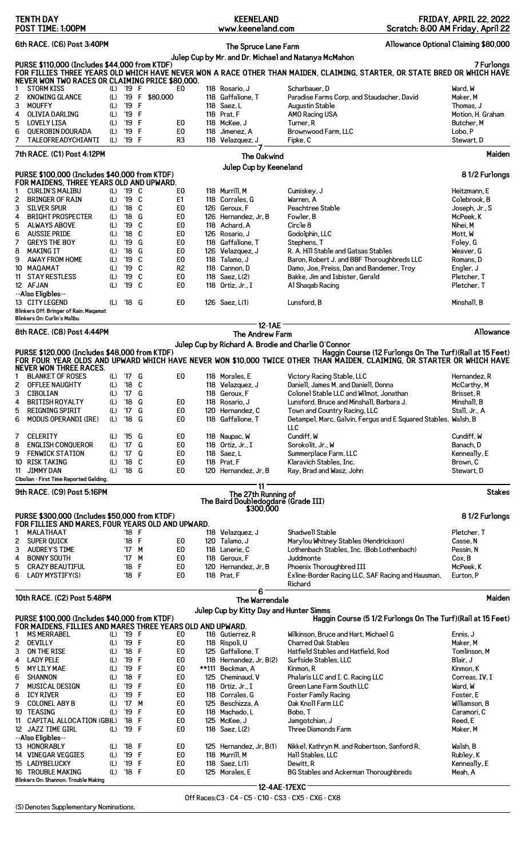| 6th RACE. (C6) Post 3:40PM<br>Allowance Optional Claiming \$80,000<br>The Spruce Lane Farm<br>Julep Cup by Mr. and Dr. Michael and Natanya McMahon<br>PURSE \$110,000 (Includes \$44,000 from KTDF)<br>FOR FILLIES THREE YEARS OLD WHICH HAVE NEVER WON A RACE OTHER THAN MAIDEN, CLAIMING, STARTER, OR STATE BRED OR WHICH HAVE<br>NEVER WON TWO RACES OR CLAIMING PRICE \$80,000.<br>(L) '19 F<br>Scharbauer, D<br><b>STORM KISS</b><br>E0<br>118 Rosario, J<br>Ward, W<br>1<br>(L) '19 F<br>2<br><b>KNOWING GLANCE</b><br>\$80,000<br>118 Gaffalione, T<br>Paradise Farms Corp. and Staudacher, David<br>Maker, M<br>3<br><b>MOUFFY</b><br>'19 F<br>(L)<br>118 Saez.L<br><b>Augustin Stable</b><br>Thomas, J<br>'19 F<br>AMO Racing USA<br>4<br><b>OLIVIA DARLING</b><br>(L)<br>118 Prat, F<br>5<br>'19 F<br><b>LOVELY LISA</b><br>(L)<br>E0<br>118 McKee, J<br>Turner, R<br>Butcher, M<br>6<br><b>QUEROBIN DOURADA</b><br>'19 F<br>E <sub>0</sub><br>118 Jimenez, A<br>Brownwood Farm, LLC<br>Lobo, P<br>(L)<br>7<br>TALEOFREADYCHIANTI<br>(L)<br>'19 F<br>R <sub>3</sub><br>118 Velazquez, J<br>Fipke, C<br>Stewart, D<br>7th RACE. (C1) Post 4:12PM<br>The Oakwind<br>Julep Cup by Keeneland<br>PURSE \$100,000 (Includes \$40,000 from KTDF)<br>81/2 Furlongs<br>FOR MAIDENS, THREE YEARS OLD AND UPWARD.<br>(L) '19 C<br><b>CURLIN'S MALIBU</b><br>E0<br>118 Murrill, M<br>Cumiskey, J<br>Heitzmann, E<br>1<br>'19 C<br>2<br><b>BRINGER OF RAIN</b><br>(L)<br>E <sub>1</sub><br>118 Corrales, G<br>Warren. A<br>Colebrook, B<br>3<br><b>SILVER SPUR</b><br>$'18$ C<br>Peachtree Stable<br>(L)<br>E0<br>126 Geroux. F<br>Joseph, Jr., S<br><b>BRIGHT PROSPECTER</b><br>'18 G<br>E <sub>0</sub><br>McPeek, K<br>4<br>(L)<br>126 Hernandez, Jr, B<br>Fowler, B<br>5<br>(L)<br>'19 C<br>E <sub>0</sub><br>118 Achard, A<br>ALWAYS ABOVE<br>Circle 8<br>Nihei, M<br>6<br><b>AUSSIE PRIDE</b><br>(L)<br>'18<br>C<br>E <sub>0</sub><br>126 Rosario, J<br>Godolphin, LLC<br>Mott, W<br>7<br><b>GREYS THE BOY</b><br>(L)<br>'19 G<br>E <sub>0</sub><br>118 Gaffalione, T<br>Stephens, T<br>Foley, G<br>'18 G<br>E <sub>0</sub><br>8<br>MAKING IT<br>(L)<br>126 Velazquez, J<br>R. A. Hill Stable and Gatsas Stables<br>Weaver, G<br>C<br>9<br><b>AWAY FROM HOME</b><br>'19<br>E <sub>0</sub><br>118 Talamo, J<br>Baron, Robert J. and BBF Thoroughbreds LLC<br>(L)<br>Romans, D<br>'19 C<br>R <sub>2</sub><br>118 Cannon, D<br>10<br>MAQAMAT<br>(L)<br>Damo, Joe, Preiss, Dan and Bandemer, Troy<br>Engler, J<br><b>STAY RESTLESS</b><br>$'19$ C<br>E <sub>0</sub><br>118 Saez, L(2)<br>11<br>(L)<br>Bakke, Jim and Isbister, Gerald<br>Pletcher, T<br>'19 C<br>12 AFJAN<br>E0<br>118 Ortiz, Jr., I<br>Pletcher, T<br>(L)<br>Al Shaqab Racing<br>--Also Eligibles--<br>13 CITY LEGEND<br>E0<br>'18 G<br>126 Saez, L(1)<br>Lunsford, B<br>Minshall, B<br>(L)<br>Blinkers Off: Bringer of Rain; Maqamat<br>Blinkers On: Curlin's Malibu<br><b>12-1AE</b><br>8th RACE. (C8) Post 4:44PM<br>The Andrew Farm<br>Julep Cup by Richard A. Brodie and Charlie O'Connor<br>PURSE \$120,000 (Includes \$48,000 from KTDF)<br>Haggin Course (12 Furlongs On The Turf) (Rail at 15 Feet)<br>FOR FOUR YEAR OLDS AND UPWARD WHICH HAVE NEVER WON \$10,000 TWICE OTHER THAN MAIDEN, CLAIMING, OR STARTER OR WHICH HAVE<br><b>NEVER WON THREE RACES.</b><br><b>BLANKET OF ROSES</b><br>(L) '17 G<br>E0<br>118 Morales, E<br>Victory Racing Stable, LLC<br>1<br>Hernandez, R<br><b>OFFLEE NAUGHTY</b><br>$(L)$ '18 C<br>118 Velazquez, J<br>Daniell, James M. and Daniell, Donna<br>McCarthy, M<br>3 CIBOLIAN<br>(L) '17 G<br>118 Geroux, F<br>Colonel Stable LLC and Wilmot, Jonathan<br>Brisset, R<br><b>BRITISH ROYALTY</b><br>'18 G<br>E0<br>118 Rosario, J<br>Lunsford, Bruce and Minshall, Barbara J.<br>Minshall, B<br>(L)<br>4<br><b>REIGNING SPIRIT</b><br>(L) '17 G<br>E <sub>0</sub><br>Stall, Jr., A<br>5<br>120 Hernandez, C<br>Town and Country Racing, LLC<br>6<br>'18 G<br>MODUS OPERANDI (IRE)<br>(L)<br>E0<br>118 Gaffalione, T<br>Detampel, Marc, Galvin, Fergus and E Squared Stables, Walsh, B<br>LLC<br>$\overline{7}$<br><b>CELERITY</b><br>(L) '15 G<br>E0<br>118 Naupac, W<br>Cundiff, W<br>Cundiff, W<br>8<br>(L) '17 G<br>E <sub>0</sub><br><b>ENGLISH CONQUEROR</b><br>118 Ortiz, Jr., I<br>Sorokolit, Jr., W<br>Banach, D<br>9<br><b>FENWICK STATION</b><br>(L) '17 G<br>E <sub>0</sub><br>118 Saez, L<br>Summerplace Farm, LLC<br>Kenneally, E<br>10 RISK TAKING<br>(L) '18 C<br>E <sub>0</sub><br>118 Prat, F<br>Klaravich Stables, Inc.<br>Brown, C<br><b>JIMMY DAN</b><br>(L) '18 G<br>E0<br>11<br>120 Hernandez, Jr, B<br>Ray, Brad and Wasz, John<br>Stewart.D<br>Cibolian - First Time Reported Gelding.<br>$11^{\circ}$<br>9th RACE. (C9) Post 5:16PM<br>The 27th Running of<br>The Baird Doubledogdare (Grade III)<br>\$300,000<br>PURSE \$300,000 (Includes \$50,000 from KTDF)<br>FOR FILLIES AND MARES, FOUR YEARS OLD AND UPWARD.<br>Shadwell Stable<br>MALATHAAT<br>'18 F<br>118 Velazquez, J<br>Pletcher, T<br>1<br>2<br>SUPER QUICK<br>$'18$ F<br>E0<br>120 Talamo, J<br>Marylou Whitney Stables (Hendrickson)<br>Casse, N<br>3<br><b>AUDREY'S TIME</b><br>E0<br>'17 M<br>118 Lanerie, C<br>Lothenbach Stables, Inc. (Bob Lothenbach)<br>Pessin, N<br>4<br><b>BONNY SOUTH</b><br>$'17$ M<br>E0<br>118 Geroux, F<br>Juddmonte<br>Cox, B<br>E <sub>0</sub><br>5<br><b>CRAZY BEAUTIFUL</b><br>'18 F<br>120 Hernandez, Jr, B<br>Phoenix Thoroughbred III<br>McPeek, K<br>6<br>LADY MYSTIFY(S)<br>'18 F<br>E0<br>Eurton, P<br>118 Prat, F<br>Exline-Border Racing LLC, SAF Racing and Hausman,<br>Richard<br>6<br>10th RACE. (C2) Post 5:48PM<br>The Warrendale<br>Julep Cup by Kitty Day and Hunter Simms<br>PURSE \$100,000 (Includes \$40,000 from KTDF)<br>Haggin Course (5 1/2 Furlongs On The Turf) (Rail at 15 Feet)<br>FOR MAIDENS, FILLIES AND MARES THREE YEARS OLD AND UPWARD.<br>$(L)$ '19 F<br>Wilkinson, Bruce and Hart, Michael G<br><b>MS MERRABEL</b><br>E0<br>118 Gutierrez, R<br>Ennis, J<br>1<br>2<br><b>DEVILLY</b><br>$(L)$ '19 F<br>E <sub>0</sub><br><b>Charred Oak Stables</b><br>Maker, M<br>118 Rispoli, U<br>3<br>ON THE RISE<br>(L) '18 F<br>E0<br>125 Gaffalione, T<br>Hatfield Stables and Hatfield, Rod<br>Tomlinson, M<br><b>LADY PELE</b><br>$(L)$ '19 F<br>E <sub>0</sub><br>Blair, J<br>4<br>118 Hernandez, Jr, B(2)<br>Surfside Stables, LLC<br>5<br><b>MY LILY MAE</b><br>(L)<br>'19 F<br>E <sub>0</sub><br>**111 Beckman, A<br>Kinmon, R<br>Kinmon, K<br>6<br><b>SHANNON</b><br>'18 F<br>E <sub>0</sub><br>(L)<br>125 Cheminaud, V<br>Phalaris LLC and I. C. Racing LLC<br>Correas, IV, I<br>7<br>MUSICAL DESIGN<br>(L) '19 F<br>E <sub>0</sub><br>Green Lane Farm South LLC<br>118 Ortiz, Jr., I<br>Ward, W<br>'19 F<br>8<br><b>ICY RIVER</b><br>(L)<br>E <sub>0</sub><br>Foster. E<br>118 Corrales, G<br><b>Foster Family Racing</b><br>9<br><b>COLONEL ABY B</b><br>'17 M<br>E <sub>0</sub><br>(L)<br>125 Beschizza, A<br>Oak Knoll Farm LLC<br>Williamson, B<br>10 TEASING<br>(L)<br>'19 F<br>E <sub>0</sub><br>118 Machado.L<br>Bobo, T<br>Caramori, C<br>E <sub>0</sub><br>11 CAPITAL ALLOCATION (GB)L)<br>'18 F<br>125 McKee, J<br>Jamgotchian, J<br>Reed, E<br>12 JAZZ TIME GIRL<br>(L) '19 F<br>E <sub>0</sub><br>Three Diamonds Farm<br>118 Saez, L(2)<br>Maker, M<br>--Also Eligibles--<br>13 HONORABLY<br>(L) '18 F<br>E0<br>125 Hernandez, Jr, B(1)<br>Nikkel, Kathryn M. and Robertson, Sanford R.<br>Walsh, B<br>$(L)$ '19 F<br>E <sub>0</sub><br>Hall Stables, LLC<br>14 VINEGAR VEGGIES<br>118 Murrill, M<br>Rubley, K<br>15 LADYBELUCKY<br>(L) '19 F<br>E <sub>0</sub><br>118 Saez, L(1)<br>Dewitt, R<br>Kenneally, E<br>$(L)$ '18 F<br>E0<br>BG Stables and Ackerman Thoroughbreds<br>16 TROUBLE MAKING<br>125 Morales, E<br>Meah, A<br>Blinkers On: Shannon; Trouble Making<br>12-4AE-17EXC $-$ | <b>TENTH DAY</b><br>POST TIME: 1:00PM |  |  | <b>KEENELAND</b><br>www.keeneland.com | <b>FRIDAY, APRIL 22, 2022</b><br>Scratch: 8:00 AM Friday, April 22 |
|----------------------------------------------------------------------------------------------------------------------------------------------------------------------------------------------------------------------------------------------------------------------------------------------------------------------------------------------------------------------------------------------------------------------------------------------------------------------------------------------------------------------------------------------------------------------------------------------------------------------------------------------------------------------------------------------------------------------------------------------------------------------------------------------------------------------------------------------------------------------------------------------------------------------------------------------------------------------------------------------------------------------------------------------------------------------------------------------------------------------------------------------------------------------------------------------------------------------------------------------------------------------------------------------------------------------------------------------------------------------------------------------------------------------------------------------------------------------------------------------------------------------------------------------------------------------------------------------------------------------------------------------------------------------------------------------------------------------------------------------------------------------------------------------------------------------------------------------------------------------------------------------------------------------------------------------------------------------------------------------------------------------------------------------------------------------------------------------------------------------------------------------------------------------------------------------------------------------------------------------------------------------------------------------------------------------------------------------------------------------------------------------------------------------------------------------------------------------------------------------------------------------------------------------------------------------------------------------------------------------------------------------------------------------------------------------------------------------------------------------------------------------------------------------------------------------------------------------------------------------------------------------------------------------------------------------------------------------------------------------------------------------------------------------------------------------------------------------------------------------------------------------------------------------------------------------------------------------------------------------------------------------------------------------------------------------------------------------------------------------------------------------------------------------------------------------------------------------------------------------------------------------------------------------------------------------------------------------------------------------------------------------------------------------------------------------------------------------------------------------------------------------------------------------------------------------------------------------------------------------------------------------------------------------------------------------------------------------------------------------------------------------------------------------------------------------------------------------------------------------------------------------------------------------------------------------------------------------------------------------------------------------------------------------------------------------------------------------------------------------------------------------------------------------------------------------------------------------------------------------------------------------------------------------------------------------------------------------------------------------------------------------------------------------------------------------------------------------------------------------------------------------------------------------------------------------------------------------------------------------------------------------------------------------------------------------------------------------------------------------------------------------------------------------------------------------------------------------------------------------------------------------------------------------------------------------------------------------------------------------------------------------------------------------------------------------------------------------------------------------------------------------------------------------------------------------------------------------------------------------------------------------------------------------------------------------------------------------------------------------------------------------------------------------------------------------------------------------------------------------------------------------------------------------------------------------------------------------------------------------------------------------------------------------------------------------------------------------------------------------------------------------------------------------------------------------------------------------------------------------------------------------------------------------------------------------------------------------------------------------------------------------------------------------------------------------------------------------------------------------------------------------------------------------------------------------------------------------------------------------------------------------------------------------------------------------------------------------------------------------------------------------------------------------------------------------------------------------------------------------------------------------------------------------------------------------------------------------------------------------------------------------------------------------------------------------------------------------------------------------------------------------------------------------------------------------------------------------------------------------------------------------------------------------------------------------------------------------------------------------------------------------------------------------------------------------------------------------------------------------------------------------------------------------------------------------------------------------------------------------------------------------------------------------------------------------------------------------------------------------------------------------------------------------------------------------------------------------------------------------------------------------------------------------------------------------------------------------------------------------------------|---------------------------------------|--|--|---------------------------------------|--------------------------------------------------------------------|
|                                                                                                                                                                                                                                                                                                                                                                                                                                                                                                                                                                                                                                                                                                                                                                                                                                                                                                                                                                                                                                                                                                                                                                                                                                                                                                                                                                                                                                                                                                                                                                                                                                                                                                                                                                                                                                                                                                                                                                                                                                                                                                                                                                                                                                                                                                                                                                                                                                                                                                                                                                                                                                                                                                                                                                                                                                                                                                                                                                                                                                                                                                                                                                                                                                                                                                                                                                                                                                                                                                                                                                                                                                                                                                                                                                                                                                                                                                                                                                                                                                                                                                                                                                                                                                                                                                                                                                                                                                                                                                                                                                                                                                                                                                                                                                                                                                                                                                                                                                                                                                                                                                                                                                                                                                                                                                                                                                                                                                                                                                                                                                                                                                                                                                                                                                                                                                                                                                                                                                                                                                                                                                                                                                                                                                                                                                                                                                                                                                                                                                                                                                                                                                                                                                                                                                                                                                                                                                                                                                                                                                                                                                                                                                                                                                                                                                                                                                                                                                                                                                                                                                                                                                                                                                                                                                                                                                                                                  |                                       |  |  |                                       |                                                                    |
|                                                                                                                                                                                                                                                                                                                                                                                                                                                                                                                                                                                                                                                                                                                                                                                                                                                                                                                                                                                                                                                                                                                                                                                                                                                                                                                                                                                                                                                                                                                                                                                                                                                                                                                                                                                                                                                                                                                                                                                                                                                                                                                                                                                                                                                                                                                                                                                                                                                                                                                                                                                                                                                                                                                                                                                                                                                                                                                                                                                                                                                                                                                                                                                                                                                                                                                                                                                                                                                                                                                                                                                                                                                                                                                                                                                                                                                                                                                                                                                                                                                                                                                                                                                                                                                                                                                                                                                                                                                                                                                                                                                                                                                                                                                                                                                                                                                                                                                                                                                                                                                                                                                                                                                                                                                                                                                                                                                                                                                                                                                                                                                                                                                                                                                                                                                                                                                                                                                                                                                                                                                                                                                                                                                                                                                                                                                                                                                                                                                                                                                                                                                                                                                                                                                                                                                                                                                                                                                                                                                                                                                                                                                                                                                                                                                                                                                                                                                                                                                                                                                                                                                                                                                                                                                                                                                                                                                                                  |                                       |  |  |                                       | 7 Furlongs                                                         |
|                                                                                                                                                                                                                                                                                                                                                                                                                                                                                                                                                                                                                                                                                                                                                                                                                                                                                                                                                                                                                                                                                                                                                                                                                                                                                                                                                                                                                                                                                                                                                                                                                                                                                                                                                                                                                                                                                                                                                                                                                                                                                                                                                                                                                                                                                                                                                                                                                                                                                                                                                                                                                                                                                                                                                                                                                                                                                                                                                                                                                                                                                                                                                                                                                                                                                                                                                                                                                                                                                                                                                                                                                                                                                                                                                                                                                                                                                                                                                                                                                                                                                                                                                                                                                                                                                                                                                                                                                                                                                                                                                                                                                                                                                                                                                                                                                                                                                                                                                                                                                                                                                                                                                                                                                                                                                                                                                                                                                                                                                                                                                                                                                                                                                                                                                                                                                                                                                                                                                                                                                                                                                                                                                                                                                                                                                                                                                                                                                                                                                                                                                                                                                                                                                                                                                                                                                                                                                                                                                                                                                                                                                                                                                                                                                                                                                                                                                                                                                                                                                                                                                                                                                                                                                                                                                                                                                                                                                  |                                       |  |  |                                       | Motion, H. Graham                                                  |
|                                                                                                                                                                                                                                                                                                                                                                                                                                                                                                                                                                                                                                                                                                                                                                                                                                                                                                                                                                                                                                                                                                                                                                                                                                                                                                                                                                                                                                                                                                                                                                                                                                                                                                                                                                                                                                                                                                                                                                                                                                                                                                                                                                                                                                                                                                                                                                                                                                                                                                                                                                                                                                                                                                                                                                                                                                                                                                                                                                                                                                                                                                                                                                                                                                                                                                                                                                                                                                                                                                                                                                                                                                                                                                                                                                                                                                                                                                                                                                                                                                                                                                                                                                                                                                                                                                                                                                                                                                                                                                                                                                                                                                                                                                                                                                                                                                                                                                                                                                                                                                                                                                                                                                                                                                                                                                                                                                                                                                                                                                                                                                                                                                                                                                                                                                                                                                                                                                                                                                                                                                                                                                                                                                                                                                                                                                                                                                                                                                                                                                                                                                                                                                                                                                                                                                                                                                                                                                                                                                                                                                                                                                                                                                                                                                                                                                                                                                                                                                                                                                                                                                                                                                                                                                                                                                                                                                                                                  |                                       |  |  |                                       | <b>Maiden</b>                                                      |
|                                                                                                                                                                                                                                                                                                                                                                                                                                                                                                                                                                                                                                                                                                                                                                                                                                                                                                                                                                                                                                                                                                                                                                                                                                                                                                                                                                                                                                                                                                                                                                                                                                                                                                                                                                                                                                                                                                                                                                                                                                                                                                                                                                                                                                                                                                                                                                                                                                                                                                                                                                                                                                                                                                                                                                                                                                                                                                                                                                                                                                                                                                                                                                                                                                                                                                                                                                                                                                                                                                                                                                                                                                                                                                                                                                                                                                                                                                                                                                                                                                                                                                                                                                                                                                                                                                                                                                                                                                                                                                                                                                                                                                                                                                                                                                                                                                                                                                                                                                                                                                                                                                                                                                                                                                                                                                                                                                                                                                                                                                                                                                                                                                                                                                                                                                                                                                                                                                                                                                                                                                                                                                                                                                                                                                                                                                                                                                                                                                                                                                                                                                                                                                                                                                                                                                                                                                                                                                                                                                                                                                                                                                                                                                                                                                                                                                                                                                                                                                                                                                                                                                                                                                                                                                                                                                                                                                                                                  |                                       |  |  |                                       |                                                                    |
|                                                                                                                                                                                                                                                                                                                                                                                                                                                                                                                                                                                                                                                                                                                                                                                                                                                                                                                                                                                                                                                                                                                                                                                                                                                                                                                                                                                                                                                                                                                                                                                                                                                                                                                                                                                                                                                                                                                                                                                                                                                                                                                                                                                                                                                                                                                                                                                                                                                                                                                                                                                                                                                                                                                                                                                                                                                                                                                                                                                                                                                                                                                                                                                                                                                                                                                                                                                                                                                                                                                                                                                                                                                                                                                                                                                                                                                                                                                                                                                                                                                                                                                                                                                                                                                                                                                                                                                                                                                                                                                                                                                                                                                                                                                                                                                                                                                                                                                                                                                                                                                                                                                                                                                                                                                                                                                                                                                                                                                                                                                                                                                                                                                                                                                                                                                                                                                                                                                                                                                                                                                                                                                                                                                                                                                                                                                                                                                                                                                                                                                                                                                                                                                                                                                                                                                                                                                                                                                                                                                                                                                                                                                                                                                                                                                                                                                                                                                                                                                                                                                                                                                                                                                                                                                                                                                                                                                                                  |                                       |  |  |                                       |                                                                    |
|                                                                                                                                                                                                                                                                                                                                                                                                                                                                                                                                                                                                                                                                                                                                                                                                                                                                                                                                                                                                                                                                                                                                                                                                                                                                                                                                                                                                                                                                                                                                                                                                                                                                                                                                                                                                                                                                                                                                                                                                                                                                                                                                                                                                                                                                                                                                                                                                                                                                                                                                                                                                                                                                                                                                                                                                                                                                                                                                                                                                                                                                                                                                                                                                                                                                                                                                                                                                                                                                                                                                                                                                                                                                                                                                                                                                                                                                                                                                                                                                                                                                                                                                                                                                                                                                                                                                                                                                                                                                                                                                                                                                                                                                                                                                                                                                                                                                                                                                                                                                                                                                                                                                                                                                                                                                                                                                                                                                                                                                                                                                                                                                                                                                                                                                                                                                                                                                                                                                                                                                                                                                                                                                                                                                                                                                                                                                                                                                                                                                                                                                                                                                                                                                                                                                                                                                                                                                                                                                                                                                                                                                                                                                                                                                                                                                                                                                                                                                                                                                                                                                                                                                                                                                                                                                                                                                                                                                                  |                                       |  |  |                                       |                                                                    |
|                                                                                                                                                                                                                                                                                                                                                                                                                                                                                                                                                                                                                                                                                                                                                                                                                                                                                                                                                                                                                                                                                                                                                                                                                                                                                                                                                                                                                                                                                                                                                                                                                                                                                                                                                                                                                                                                                                                                                                                                                                                                                                                                                                                                                                                                                                                                                                                                                                                                                                                                                                                                                                                                                                                                                                                                                                                                                                                                                                                                                                                                                                                                                                                                                                                                                                                                                                                                                                                                                                                                                                                                                                                                                                                                                                                                                                                                                                                                                                                                                                                                                                                                                                                                                                                                                                                                                                                                                                                                                                                                                                                                                                                                                                                                                                                                                                                                                                                                                                                                                                                                                                                                                                                                                                                                                                                                                                                                                                                                                                                                                                                                                                                                                                                                                                                                                                                                                                                                                                                                                                                                                                                                                                                                                                                                                                                                                                                                                                                                                                                                                                                                                                                                                                                                                                                                                                                                                                                                                                                                                                                                                                                                                                                                                                                                                                                                                                                                                                                                                                                                                                                                                                                                                                                                                                                                                                                                                  |                                       |  |  |                                       |                                                                    |
|                                                                                                                                                                                                                                                                                                                                                                                                                                                                                                                                                                                                                                                                                                                                                                                                                                                                                                                                                                                                                                                                                                                                                                                                                                                                                                                                                                                                                                                                                                                                                                                                                                                                                                                                                                                                                                                                                                                                                                                                                                                                                                                                                                                                                                                                                                                                                                                                                                                                                                                                                                                                                                                                                                                                                                                                                                                                                                                                                                                                                                                                                                                                                                                                                                                                                                                                                                                                                                                                                                                                                                                                                                                                                                                                                                                                                                                                                                                                                                                                                                                                                                                                                                                                                                                                                                                                                                                                                                                                                                                                                                                                                                                                                                                                                                                                                                                                                                                                                                                                                                                                                                                                                                                                                                                                                                                                                                                                                                                                                                                                                                                                                                                                                                                                                                                                                                                                                                                                                                                                                                                                                                                                                                                                                                                                                                                                                                                                                                                                                                                                                                                                                                                                                                                                                                                                                                                                                                                                                                                                                                                                                                                                                                                                                                                                                                                                                                                                                                                                                                                                                                                                                                                                                                                                                                                                                                                                                  |                                       |  |  |                                       |                                                                    |
|                                                                                                                                                                                                                                                                                                                                                                                                                                                                                                                                                                                                                                                                                                                                                                                                                                                                                                                                                                                                                                                                                                                                                                                                                                                                                                                                                                                                                                                                                                                                                                                                                                                                                                                                                                                                                                                                                                                                                                                                                                                                                                                                                                                                                                                                                                                                                                                                                                                                                                                                                                                                                                                                                                                                                                                                                                                                                                                                                                                                                                                                                                                                                                                                                                                                                                                                                                                                                                                                                                                                                                                                                                                                                                                                                                                                                                                                                                                                                                                                                                                                                                                                                                                                                                                                                                                                                                                                                                                                                                                                                                                                                                                                                                                                                                                                                                                                                                                                                                                                                                                                                                                                                                                                                                                                                                                                                                                                                                                                                                                                                                                                                                                                                                                                                                                                                                                                                                                                                                                                                                                                                                                                                                                                                                                                                                                                                                                                                                                                                                                                                                                                                                                                                                                                                                                                                                                                                                                                                                                                                                                                                                                                                                                                                                                                                                                                                                                                                                                                                                                                                                                                                                                                                                                                                                                                                                                                                  |                                       |  |  |                                       |                                                                    |
|                                                                                                                                                                                                                                                                                                                                                                                                                                                                                                                                                                                                                                                                                                                                                                                                                                                                                                                                                                                                                                                                                                                                                                                                                                                                                                                                                                                                                                                                                                                                                                                                                                                                                                                                                                                                                                                                                                                                                                                                                                                                                                                                                                                                                                                                                                                                                                                                                                                                                                                                                                                                                                                                                                                                                                                                                                                                                                                                                                                                                                                                                                                                                                                                                                                                                                                                                                                                                                                                                                                                                                                                                                                                                                                                                                                                                                                                                                                                                                                                                                                                                                                                                                                                                                                                                                                                                                                                                                                                                                                                                                                                                                                                                                                                                                                                                                                                                                                                                                                                                                                                                                                                                                                                                                                                                                                                                                                                                                                                                                                                                                                                                                                                                                                                                                                                                                                                                                                                                                                                                                                                                                                                                                                                                                                                                                                                                                                                                                                                                                                                                                                                                                                                                                                                                                                                                                                                                                                                                                                                                                                                                                                                                                                                                                                                                                                                                                                                                                                                                                                                                                                                                                                                                                                                                                                                                                                                                  |                                       |  |  |                                       | Allowance                                                          |
|                                                                                                                                                                                                                                                                                                                                                                                                                                                                                                                                                                                                                                                                                                                                                                                                                                                                                                                                                                                                                                                                                                                                                                                                                                                                                                                                                                                                                                                                                                                                                                                                                                                                                                                                                                                                                                                                                                                                                                                                                                                                                                                                                                                                                                                                                                                                                                                                                                                                                                                                                                                                                                                                                                                                                                                                                                                                                                                                                                                                                                                                                                                                                                                                                                                                                                                                                                                                                                                                                                                                                                                                                                                                                                                                                                                                                                                                                                                                                                                                                                                                                                                                                                                                                                                                                                                                                                                                                                                                                                                                                                                                                                                                                                                                                                                                                                                                                                                                                                                                                                                                                                                                                                                                                                                                                                                                                                                                                                                                                                                                                                                                                                                                                                                                                                                                                                                                                                                                                                                                                                                                                                                                                                                                                                                                                                                                                                                                                                                                                                                                                                                                                                                                                                                                                                                                                                                                                                                                                                                                                                                                                                                                                                                                                                                                                                                                                                                                                                                                                                                                                                                                                                                                                                                                                                                                                                                                                  |                                       |  |  |                                       |                                                                    |
|                                                                                                                                                                                                                                                                                                                                                                                                                                                                                                                                                                                                                                                                                                                                                                                                                                                                                                                                                                                                                                                                                                                                                                                                                                                                                                                                                                                                                                                                                                                                                                                                                                                                                                                                                                                                                                                                                                                                                                                                                                                                                                                                                                                                                                                                                                                                                                                                                                                                                                                                                                                                                                                                                                                                                                                                                                                                                                                                                                                                                                                                                                                                                                                                                                                                                                                                                                                                                                                                                                                                                                                                                                                                                                                                                                                                                                                                                                                                                                                                                                                                                                                                                                                                                                                                                                                                                                                                                                                                                                                                                                                                                                                                                                                                                                                                                                                                                                                                                                                                                                                                                                                                                                                                                                                                                                                                                                                                                                                                                                                                                                                                                                                                                                                                                                                                                                                                                                                                                                                                                                                                                                                                                                                                                                                                                                                                                                                                                                                                                                                                                                                                                                                                                                                                                                                                                                                                                                                                                                                                                                                                                                                                                                                                                                                                                                                                                                                                                                                                                                                                                                                                                                                                                                                                                                                                                                                                                  |                                       |  |  |                                       |                                                                    |
|                                                                                                                                                                                                                                                                                                                                                                                                                                                                                                                                                                                                                                                                                                                                                                                                                                                                                                                                                                                                                                                                                                                                                                                                                                                                                                                                                                                                                                                                                                                                                                                                                                                                                                                                                                                                                                                                                                                                                                                                                                                                                                                                                                                                                                                                                                                                                                                                                                                                                                                                                                                                                                                                                                                                                                                                                                                                                                                                                                                                                                                                                                                                                                                                                                                                                                                                                                                                                                                                                                                                                                                                                                                                                                                                                                                                                                                                                                                                                                                                                                                                                                                                                                                                                                                                                                                                                                                                                                                                                                                                                                                                                                                                                                                                                                                                                                                                                                                                                                                                                                                                                                                                                                                                                                                                                                                                                                                                                                                                                                                                                                                                                                                                                                                                                                                                                                                                                                                                                                                                                                                                                                                                                                                                                                                                                                                                                                                                                                                                                                                                                                                                                                                                                                                                                                                                                                                                                                                                                                                                                                                                                                                                                                                                                                                                                                                                                                                                                                                                                                                                                                                                                                                                                                                                                                                                                                                                                  |                                       |  |  |                                       |                                                                    |
|                                                                                                                                                                                                                                                                                                                                                                                                                                                                                                                                                                                                                                                                                                                                                                                                                                                                                                                                                                                                                                                                                                                                                                                                                                                                                                                                                                                                                                                                                                                                                                                                                                                                                                                                                                                                                                                                                                                                                                                                                                                                                                                                                                                                                                                                                                                                                                                                                                                                                                                                                                                                                                                                                                                                                                                                                                                                                                                                                                                                                                                                                                                                                                                                                                                                                                                                                                                                                                                                                                                                                                                                                                                                                                                                                                                                                                                                                                                                                                                                                                                                                                                                                                                                                                                                                                                                                                                                                                                                                                                                                                                                                                                                                                                                                                                                                                                                                                                                                                                                                                                                                                                                                                                                                                                                                                                                                                                                                                                                                                                                                                                                                                                                                                                                                                                                                                                                                                                                                                                                                                                                                                                                                                                                                                                                                                                                                                                                                                                                                                                                                                                                                                                                                                                                                                                                                                                                                                                                                                                                                                                                                                                                                                                                                                                                                                                                                                                                                                                                                                                                                                                                                                                                                                                                                                                                                                                                                  |                                       |  |  |                                       |                                                                    |
|                                                                                                                                                                                                                                                                                                                                                                                                                                                                                                                                                                                                                                                                                                                                                                                                                                                                                                                                                                                                                                                                                                                                                                                                                                                                                                                                                                                                                                                                                                                                                                                                                                                                                                                                                                                                                                                                                                                                                                                                                                                                                                                                                                                                                                                                                                                                                                                                                                                                                                                                                                                                                                                                                                                                                                                                                                                                                                                                                                                                                                                                                                                                                                                                                                                                                                                                                                                                                                                                                                                                                                                                                                                                                                                                                                                                                                                                                                                                                                                                                                                                                                                                                                                                                                                                                                                                                                                                                                                                                                                                                                                                                                                                                                                                                                                                                                                                                                                                                                                                                                                                                                                                                                                                                                                                                                                                                                                                                                                                                                                                                                                                                                                                                                                                                                                                                                                                                                                                                                                                                                                                                                                                                                                                                                                                                                                                                                                                                                                                                                                                                                                                                                                                                                                                                                                                                                                                                                                                                                                                                                                                                                                                                                                                                                                                                                                                                                                                                                                                                                                                                                                                                                                                                                                                                                                                                                                                                  |                                       |  |  |                                       | <b>Stakes</b>                                                      |
|                                                                                                                                                                                                                                                                                                                                                                                                                                                                                                                                                                                                                                                                                                                                                                                                                                                                                                                                                                                                                                                                                                                                                                                                                                                                                                                                                                                                                                                                                                                                                                                                                                                                                                                                                                                                                                                                                                                                                                                                                                                                                                                                                                                                                                                                                                                                                                                                                                                                                                                                                                                                                                                                                                                                                                                                                                                                                                                                                                                                                                                                                                                                                                                                                                                                                                                                                                                                                                                                                                                                                                                                                                                                                                                                                                                                                                                                                                                                                                                                                                                                                                                                                                                                                                                                                                                                                                                                                                                                                                                                                                                                                                                                                                                                                                                                                                                                                                                                                                                                                                                                                                                                                                                                                                                                                                                                                                                                                                                                                                                                                                                                                                                                                                                                                                                                                                                                                                                                                                                                                                                                                                                                                                                                                                                                                                                                                                                                                                                                                                                                                                                                                                                                                                                                                                                                                                                                                                                                                                                                                                                                                                                                                                                                                                                                                                                                                                                                                                                                                                                                                                                                                                                                                                                                                                                                                                                                                  |                                       |  |  |                                       | 81/2 Furlongs                                                      |
|                                                                                                                                                                                                                                                                                                                                                                                                                                                                                                                                                                                                                                                                                                                                                                                                                                                                                                                                                                                                                                                                                                                                                                                                                                                                                                                                                                                                                                                                                                                                                                                                                                                                                                                                                                                                                                                                                                                                                                                                                                                                                                                                                                                                                                                                                                                                                                                                                                                                                                                                                                                                                                                                                                                                                                                                                                                                                                                                                                                                                                                                                                                                                                                                                                                                                                                                                                                                                                                                                                                                                                                                                                                                                                                                                                                                                                                                                                                                                                                                                                                                                                                                                                                                                                                                                                                                                                                                                                                                                                                                                                                                                                                                                                                                                                                                                                                                                                                                                                                                                                                                                                                                                                                                                                                                                                                                                                                                                                                                                                                                                                                                                                                                                                                                                                                                                                                                                                                                                                                                                                                                                                                                                                                                                                                                                                                                                                                                                                                                                                                                                                                                                                                                                                                                                                                                                                                                                                                                                                                                                                                                                                                                                                                                                                                                                                                                                                                                                                                                                                                                                                                                                                                                                                                                                                                                                                                                                  |                                       |  |  |                                       |                                                                    |
|                                                                                                                                                                                                                                                                                                                                                                                                                                                                                                                                                                                                                                                                                                                                                                                                                                                                                                                                                                                                                                                                                                                                                                                                                                                                                                                                                                                                                                                                                                                                                                                                                                                                                                                                                                                                                                                                                                                                                                                                                                                                                                                                                                                                                                                                                                                                                                                                                                                                                                                                                                                                                                                                                                                                                                                                                                                                                                                                                                                                                                                                                                                                                                                                                                                                                                                                                                                                                                                                                                                                                                                                                                                                                                                                                                                                                                                                                                                                                                                                                                                                                                                                                                                                                                                                                                                                                                                                                                                                                                                                                                                                                                                                                                                                                                                                                                                                                                                                                                                                                                                                                                                                                                                                                                                                                                                                                                                                                                                                                                                                                                                                                                                                                                                                                                                                                                                                                                                                                                                                                                                                                                                                                                                                                                                                                                                                                                                                                                                                                                                                                                                                                                                                                                                                                                                                                                                                                                                                                                                                                                                                                                                                                                                                                                                                                                                                                                                                                                                                                                                                                                                                                                                                                                                                                                                                                                                                                  |                                       |  |  |                                       |                                                                    |
|                                                                                                                                                                                                                                                                                                                                                                                                                                                                                                                                                                                                                                                                                                                                                                                                                                                                                                                                                                                                                                                                                                                                                                                                                                                                                                                                                                                                                                                                                                                                                                                                                                                                                                                                                                                                                                                                                                                                                                                                                                                                                                                                                                                                                                                                                                                                                                                                                                                                                                                                                                                                                                                                                                                                                                                                                                                                                                                                                                                                                                                                                                                                                                                                                                                                                                                                                                                                                                                                                                                                                                                                                                                                                                                                                                                                                                                                                                                                                                                                                                                                                                                                                                                                                                                                                                                                                                                                                                                                                                                                                                                                                                                                                                                                                                                                                                                                                                                                                                                                                                                                                                                                                                                                                                                                                                                                                                                                                                                                                                                                                                                                                                                                                                                                                                                                                                                                                                                                                                                                                                                                                                                                                                                                                                                                                                                                                                                                                                                                                                                                                                                                                                                                                                                                                                                                                                                                                                                                                                                                                                                                                                                                                                                                                                                                                                                                                                                                                                                                                                                                                                                                                                                                                                                                                                                                                                                                                  |                                       |  |  |                                       |                                                                    |
|                                                                                                                                                                                                                                                                                                                                                                                                                                                                                                                                                                                                                                                                                                                                                                                                                                                                                                                                                                                                                                                                                                                                                                                                                                                                                                                                                                                                                                                                                                                                                                                                                                                                                                                                                                                                                                                                                                                                                                                                                                                                                                                                                                                                                                                                                                                                                                                                                                                                                                                                                                                                                                                                                                                                                                                                                                                                                                                                                                                                                                                                                                                                                                                                                                                                                                                                                                                                                                                                                                                                                                                                                                                                                                                                                                                                                                                                                                                                                                                                                                                                                                                                                                                                                                                                                                                                                                                                                                                                                                                                                                                                                                                                                                                                                                                                                                                                                                                                                                                                                                                                                                                                                                                                                                                                                                                                                                                                                                                                                                                                                                                                                                                                                                                                                                                                                                                                                                                                                                                                                                                                                                                                                                                                                                                                                                                                                                                                                                                                                                                                                                                                                                                                                                                                                                                                                                                                                                                                                                                                                                                                                                                                                                                                                                                                                                                                                                                                                                                                                                                                                                                                                                                                                                                                                                                                                                                                                  |                                       |  |  |                                       | Maiden                                                             |
|                                                                                                                                                                                                                                                                                                                                                                                                                                                                                                                                                                                                                                                                                                                                                                                                                                                                                                                                                                                                                                                                                                                                                                                                                                                                                                                                                                                                                                                                                                                                                                                                                                                                                                                                                                                                                                                                                                                                                                                                                                                                                                                                                                                                                                                                                                                                                                                                                                                                                                                                                                                                                                                                                                                                                                                                                                                                                                                                                                                                                                                                                                                                                                                                                                                                                                                                                                                                                                                                                                                                                                                                                                                                                                                                                                                                                                                                                                                                                                                                                                                                                                                                                                                                                                                                                                                                                                                                                                                                                                                                                                                                                                                                                                                                                                                                                                                                                                                                                                                                                                                                                                                                                                                                                                                                                                                                                                                                                                                                                                                                                                                                                                                                                                                                                                                                                                                                                                                                                                                                                                                                                                                                                                                                                                                                                                                                                                                                                                                                                                                                                                                                                                                                                                                                                                                                                                                                                                                                                                                                                                                                                                                                                                                                                                                                                                                                                                                                                                                                                                                                                                                                                                                                                                                                                                                                                                                                                  |                                       |  |  |                                       |                                                                    |
|                                                                                                                                                                                                                                                                                                                                                                                                                                                                                                                                                                                                                                                                                                                                                                                                                                                                                                                                                                                                                                                                                                                                                                                                                                                                                                                                                                                                                                                                                                                                                                                                                                                                                                                                                                                                                                                                                                                                                                                                                                                                                                                                                                                                                                                                                                                                                                                                                                                                                                                                                                                                                                                                                                                                                                                                                                                                                                                                                                                                                                                                                                                                                                                                                                                                                                                                                                                                                                                                                                                                                                                                                                                                                                                                                                                                                                                                                                                                                                                                                                                                                                                                                                                                                                                                                                                                                                                                                                                                                                                                                                                                                                                                                                                                                                                                                                                                                                                                                                                                                                                                                                                                                                                                                                                                                                                                                                                                                                                                                                                                                                                                                                                                                                                                                                                                                                                                                                                                                                                                                                                                                                                                                                                                                                                                                                                                                                                                                                                                                                                                                                                                                                                                                                                                                                                                                                                                                                                                                                                                                                                                                                                                                                                                                                                                                                                                                                                                                                                                                                                                                                                                                                                                                                                                                                                                                                                                                  |                                       |  |  |                                       |                                                                    |
|                                                                                                                                                                                                                                                                                                                                                                                                                                                                                                                                                                                                                                                                                                                                                                                                                                                                                                                                                                                                                                                                                                                                                                                                                                                                                                                                                                                                                                                                                                                                                                                                                                                                                                                                                                                                                                                                                                                                                                                                                                                                                                                                                                                                                                                                                                                                                                                                                                                                                                                                                                                                                                                                                                                                                                                                                                                                                                                                                                                                                                                                                                                                                                                                                                                                                                                                                                                                                                                                                                                                                                                                                                                                                                                                                                                                                                                                                                                                                                                                                                                                                                                                                                                                                                                                                                                                                                                                                                                                                                                                                                                                                                                                                                                                                                                                                                                                                                                                                                                                                                                                                                                                                                                                                                                                                                                                                                                                                                                                                                                                                                                                                                                                                                                                                                                                                                                                                                                                                                                                                                                                                                                                                                                                                                                                                                                                                                                                                                                                                                                                                                                                                                                                                                                                                                                                                                                                                                                                                                                                                                                                                                                                                                                                                                                                                                                                                                                                                                                                                                                                                                                                                                                                                                                                                                                                                                                                                  |                                       |  |  |                                       |                                                                    |
|                                                                                                                                                                                                                                                                                                                                                                                                                                                                                                                                                                                                                                                                                                                                                                                                                                                                                                                                                                                                                                                                                                                                                                                                                                                                                                                                                                                                                                                                                                                                                                                                                                                                                                                                                                                                                                                                                                                                                                                                                                                                                                                                                                                                                                                                                                                                                                                                                                                                                                                                                                                                                                                                                                                                                                                                                                                                                                                                                                                                                                                                                                                                                                                                                                                                                                                                                                                                                                                                                                                                                                                                                                                                                                                                                                                                                                                                                                                                                                                                                                                                                                                                                                                                                                                                                                                                                                                                                                                                                                                                                                                                                                                                                                                                                                                                                                                                                                                                                                                                                                                                                                                                                                                                                                                                                                                                                                                                                                                                                                                                                                                                                                                                                                                                                                                                                                                                                                                                                                                                                                                                                                                                                                                                                                                                                                                                                                                                                                                                                                                                                                                                                                                                                                                                                                                                                                                                                                                                                                                                                                                                                                                                                                                                                                                                                                                                                                                                                                                                                                                                                                                                                                                                                                                                                                                                                                                                                  |                                       |  |  |                                       |                                                                    |
| Off Races:C3 - C4 - C5 - C10 - CS3 - CX5 - CX6 - CX8                                                                                                                                                                                                                                                                                                                                                                                                                                                                                                                                                                                                                                                                                                                                                                                                                                                                                                                                                                                                                                                                                                                                                                                                                                                                                                                                                                                                                                                                                                                                                                                                                                                                                                                                                                                                                                                                                                                                                                                                                                                                                                                                                                                                                                                                                                                                                                                                                                                                                                                                                                                                                                                                                                                                                                                                                                                                                                                                                                                                                                                                                                                                                                                                                                                                                                                                                                                                                                                                                                                                                                                                                                                                                                                                                                                                                                                                                                                                                                                                                                                                                                                                                                                                                                                                                                                                                                                                                                                                                                                                                                                                                                                                                                                                                                                                                                                                                                                                                                                                                                                                                                                                                                                                                                                                                                                                                                                                                                                                                                                                                                                                                                                                                                                                                                                                                                                                                                                                                                                                                                                                                                                                                                                                                                                                                                                                                                                                                                                                                                                                                                                                                                                                                                                                                                                                                                                                                                                                                                                                                                                                                                                                                                                                                                                                                                                                                                                                                                                                                                                                                                                                                                                                                                                                                                                                                             |                                       |  |  |                                       |                                                                    |

(S) Denotes Supplementary Nominations.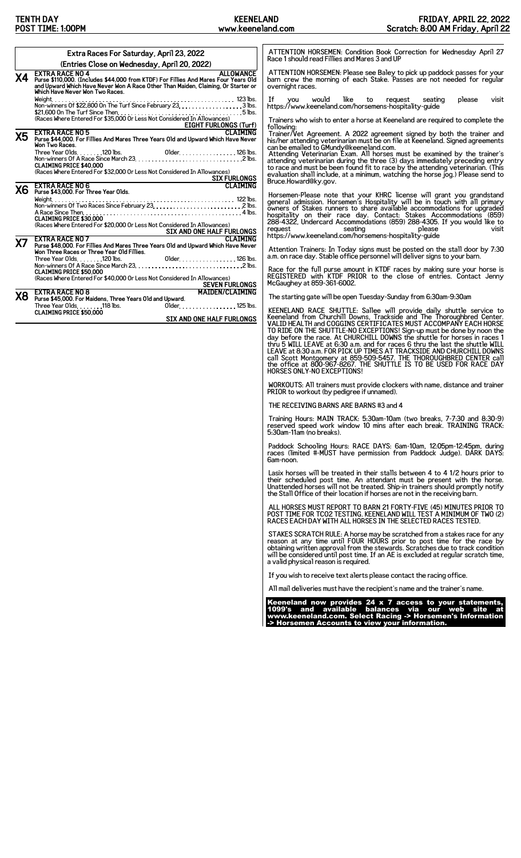|           | Extra Races For Saturday, April 23, 2022                                                                                                                                                                                                                                                                                                    | ATTENTION HORSEMEN: Condition Book Correction for Wednesday April 27<br>Race 1 should read Fillies and Mares 3 and UP                                                                                                                                                                                                                                                                                                                                                                                                                                                                                                                                                                                          |
|-----------|---------------------------------------------------------------------------------------------------------------------------------------------------------------------------------------------------------------------------------------------------------------------------------------------------------------------------------------------|----------------------------------------------------------------------------------------------------------------------------------------------------------------------------------------------------------------------------------------------------------------------------------------------------------------------------------------------------------------------------------------------------------------------------------------------------------------------------------------------------------------------------------------------------------------------------------------------------------------------------------------------------------------------------------------------------------------|
|           | (Entries Close on Wednesday, April 20, 2022)                                                                                                                                                                                                                                                                                                |                                                                                                                                                                                                                                                                                                                                                                                                                                                                                                                                                                                                                                                                                                                |
|           | <b>EXTRA RACE NO 4</b><br><b>ALLOWANCE</b><br><b>X4</b> EXTRA RACE NU 4<br>Purse \$110,000. (Includes \$44,000 from KTDF) For Fillies And Mares Four Years Old<br>and Upward Which Have Never Won A Race Other Than Maiden, Claiming, Or Starter or<br>Which Have Never Won Two Races.                                                      | ATTENTION HORSEMEN: Please see Baley to pick up paddock passes for your<br>barn crew the morning of each Stake. Passes are not needed for regular<br>overnight races.                                                                                                                                                                                                                                                                                                                                                                                                                                                                                                                                          |
|           | (Races Where Entered For \$35,000 Or Less Not Considered In Allowances)<br>EIGHT FURLONGS (Turf)                                                                                                                                                                                                                                            | would like to request<br>If<br><b>VOU</b><br>seating<br>please<br>visit<br>https://www.keeneland.com/horsemens-hospitality-guide<br>Trainers who wish to enter a horse at Keeneland are required to complete the                                                                                                                                                                                                                                                                                                                                                                                                                                                                                               |
| Х5        | <b>CLAIMING</b><br><b>EXTRA RACE NO 5</b><br>Purse \$44,000. For Fillies And Mares Three Years Old and Upward Which Have Never<br>Won Two Races.<br><b>CLAIMING PRICE \$40,000</b><br>(Races Where Entered For \$32,000 Or Less Not Considered In Allowances)<br>EXTRA RACE NO 6<br>Purse \$43,000. For Three Year Olds. CLAIMING<br>Weight | following:<br>Trainer/Vet Agreement. A 2022 agreement signed by both the trainer and<br>his/her attending veterinarian must be on file at Keeneland. Signed agreements<br>can be emailed to GMundy@keeneland.com.<br>Attending Veterinarian Exam. All horses must be examined by the trainer's attending Veterinarian during the three (3) days immediately preceding entry<br>to race and must be been found fit to race by the attending veterinarian. (This<br>evaluation shall include, at a minimum, watching the horse jog.) Please send to<br>Bruce.Howard@ky.gov.                                                                                                                                      |
| Х6        | <b>CLAIMING PRICE \$30,000</b><br>(Races Where Entered For \$20,000 Or Less Not Considered In Allowances)                                                                                                                                                                                                                                   | Horsemen-Please note that your KHRC license will grant you grandstand general admission. Horsemen's Hospitality will be in touch with all primary<br>superior of Stakes runners to share available accommodations for upgraded<br>hospitality on their race day. Contact: Stakes Accommodations (859)<br>288-4322, Undercard Accommodations (859) 288-4305. If you would like to<br>request<br>thes://www.keeneland.com/horsemens-hospitality-guide<br>visit                                                                                                                                                                                                                                                   |
| <b>X7</b> | EXTRA RACE NO 7<br>EXTRA RACE NO 7<br>Purse \$48,000. For Fillies And Mares Three Years 01d and Upward Which Have Never<br>Won Three Races or Three Year Old Fillies.<br>Older. 126 lbs.<br><b>CLAIMING PRICE \$50,000</b><br>(Races Where Entered For \$40,000 Or Less Not Considered In Allowances)                                       | Attention Trainers: In Today signs must be posted on the stall door by 7:30 a.m. on race day. Stable office personnel will deliver signs to your barn.<br>Race for the full purse amount in KTDF races by making sure your horse is<br>REGISTERED with KTDF PRIOR to the close of entries. Contact Jenny<br>McGaughey at 859-361-6002.                                                                                                                                                                                                                                                                                                                                                                         |
| Χ8        | <b>SEVEN FURLONGS</b><br>MATDEN/CLATMTNG<br><b>EXTRA RACE NO 8</b><br>Purse \$45,000. For Maidens, Three Years Old and Upward.                                                                                                                                                                                                              | The starting gate will be open Tuesday-Sunday from 6:30am-9:30am                                                                                                                                                                                                                                                                                                                                                                                                                                                                                                                                                                                                                                               |
|           | Older. 125 lbs.<br>Three Year Olds. 118 lbs.<br><b>CLAIMING PRICE \$50.000</b><br><b>SIX AND ONE HALF FURLONGS</b>                                                                                                                                                                                                                          | KEENELAND RACE SHUTTLE: Sallee will provide daily shuttle service to<br>Keeneland from Churchill Downs, Trackside and The Thoroughbred Center.<br>VALID HEALTH and COGGINS CERTIFICATES MUST ACCOMPANY EACH HORSE<br>TO RIDE ON THE SHUTTLE-NO EXCEPTIONS! Sign-up must be done by noon the day before the race. At CHURCHILL DOWNS the shuttle for horses in races 1<br>thru 5 WILL LEAVE at 6:30 a.m. and for races 6 thru the last the shuttle WILL LEAVE at 8:30 a.m. FOR PICK UP TIMES AT TRACKSIDE AND CHURCHILL DOWNS<br>call Scott Montgomery at 859-509-5457. THE THOROUGHBRED CENTER call<br>the office at 800-967-8267. THE SHUTTLE IS TO BE USED FOR RACE DAY<br><b>HORSES ONLY-NO EXCEPTIONS!</b> |
|           |                                                                                                                                                                                                                                                                                                                                             | WORKOUTS: All trainers must provide clockers with name, distance and trainer<br>PRIOR to workout (by pedigree if unnamed).                                                                                                                                                                                                                                                                                                                                                                                                                                                                                                                                                                                     |
|           |                                                                                                                                                                                                                                                                                                                                             | THE RECEIVING BARNS ARE BARNS #3 and 4                                                                                                                                                                                                                                                                                                                                                                                                                                                                                                                                                                                                                                                                         |
|           |                                                                                                                                                                                                                                                                                                                                             | Training Hours: MAIN TRACK: 5:30am-10am (two breaks, 7-7:30 and 8:30-9)<br>reserved speed work window 10 mins after each break. TRAINING TRACK:<br>5:30am-11am (no breaks).                                                                                                                                                                                                                                                                                                                                                                                                                                                                                                                                    |

Paddock Schooling Hours: RACE DAYS: 6am-10am, 12:05pm-12:45pm, during races (limited #-MUST have permission from Paddock Judge). DARK DAYS: 6am-noon.

Lasix horses will be treated in their stalls between 4 to 4 1/2 hours prior to<br>their scheduled post time. An attendant must be present with the horse.<br>Unattended horses will not be treated. Ship-in trainers should promptly

ALL HORSES MUST REPORT TO BARN 21 FORTY-FIVE (45) MINUTES PRIOR TO POST TIME FOR TCO2 TESTING. KEENELAND WILL TEST A MINIMUM OF TWO (2) RACES EACH DAY WITH ALL HORSES IN THE SELECTED RACES TESTED.

STAKES SCRATCH RULE: A horse may be scratched from a stakes race for any<br>reason at any time until FOUR HOURS prior to post time for the race by<br>obtaining written approval from the stewards. Scratches due to track condition

If you wish to receive text alerts please contact the racing office.

All mail deliveries must have the recipient's name and the trainer's name.

Keeneland now provides 24 x 7 access to your statements, 1099's and available balances via our web site at www.keeneland.com. Select Racing -> Horsemen's Information -> Horsemen Accounts to view your information.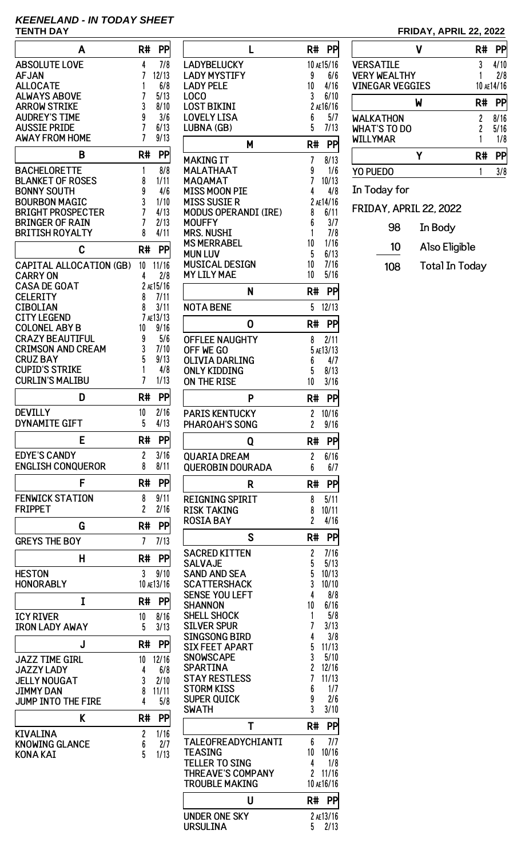# **KEENELAND - IN TODAY SHEET**

| Α                                              | R#<br>PP               |
|------------------------------------------------|------------------------|
| <b>ABSOLUTE LOVE</b>                           | 4<br>7/8               |
| <b>AFJAN</b>                                   | 7<br>12/13             |
| <b>ALLOCATE</b>                                | 1<br>6/8               |
| <b>ALWAYS ABOVE</b>                            | 7<br>5/13              |
| <b>ARROW STRIKE</b>                            | 3<br>8/10              |
| <b>AUDREY'S TIME</b><br><b>AUSSIE PRIDE</b>    | 9<br>3/6<br>7<br>6/13  |
| <b>AWAY FROM HOME</b>                          | 7<br>9/13              |
|                                                |                        |
| B                                              | PP<br>R#               |
| BACHELORETTE                                   | 1<br>8/8               |
| <b>BLANKET OF ROSES</b><br>BONNY SOUTH         | 8<br>1/11<br>9<br>4/6  |
| <b>BOURBON MAGIC</b>                           | 3<br>1/10              |
| BRIGHT PROSPECTER                              | 7<br>4/13              |
| <b>BRINGER OF RAIN</b>                         | 7<br>2/13              |
| <b>BRITISH ROYALTY</b>                         | 4/11<br>8              |
| C                                              | PP<br>R#               |
| <b>CAPITAL ALLOCATION (GB)</b>                 | 10<br>11/16            |
| <b>CARRY ON</b>                                | 4<br>2/8               |
| <b>CASA DE GOAT</b>                            | 2 AE15/16              |
| CELERITY                                       | 8<br>7/11              |
| <b>CIBOLIAN</b>                                | 8<br>3/11              |
| <b>CITY LEGEND</b>                             | 7 AE13/13              |
| <b>COLONEL ABY B</b><br><b>CRAZY BEAUTIFUL</b> | 9/16<br>10<br>5/6<br>9 |
| <b>CRIMSON AND CREAM</b>                       | 3<br>7/10              |
| <b>CRUZ BAY</b>                                | 5<br>9/13              |
| <b>CUPID'S STRIKE</b>                          | 1<br>4/8               |
| <b>CURLIN'S MALIBU</b>                         | 7<br>1/13              |
| D                                              | R#<br>PP               |
| <b>DEVILLY</b>                                 | 10<br>2/16             |
| <b>DYNAMITE GIFT</b>                           | 5<br>4/13              |
| E                                              | <b>PP</b><br>R#        |
| <b>EDYE'S CANDY</b>                            | 3/16<br>2<br>8         |
| <b>ENGLISH CONQUEROR</b>                       | 8/11                   |
| F                                              | R#<br>PP               |
| <b>FENWICK STATION</b><br><b>FRIPPET</b>       | 9/11<br>8<br>2<br>2/16 |
|                                                |                        |
| G                                              | R#<br>PP               |
| <b>GREYS THE BOY</b>                           | 7<br>7/13              |
| н                                              | PP<br>R#               |
| <b>HESTON</b>                                  | 3<br>9/10              |
| <b>HONORABLY</b>                               | 10 AE13/16             |
| I                                              | R#<br>PP               |
| <b>ICY RIVER</b>                               | 10<br>8/16             |
| <b>IRON LADY AWAY</b>                          | 5<br>3/13              |
| J                                              | R#<br>PP               |
| <b>JAZZ TIME GIRL</b>                          | 12/16<br>10            |
| <b>JAZZY LADY</b>                              | 6/8<br>4               |
| <b>JELLY NOUGAT</b>                            | 3<br>2/10              |
| JIMMY DAN<br><b>JUMP INTO THE FIRE</b>         | 11/11<br>8<br>4<br>5/8 |
|                                                |                        |
| K                                              | R#<br>PP               |
| <b>KIVALINA</b>                                | 2<br>1/16              |
| <b>KNOWING GLANCE</b><br>KONA KAI              | 6<br>2/7<br>5<br>1/13  |
|                                                |                        |

| L                                           | R#<br>PP                             |
|---------------------------------------------|--------------------------------------|
| LADYBELUCKY                                 | 10 AE15/16                           |
| <b>LADY MYSTIFY</b>                         | 9<br>6/6                             |
| <b>LADY PELE</b>                            | 10<br>4/16                           |
| LOCO<br><b>LOST BIKINI</b>                  | 3<br>6/10                            |
| <b>LOVELY LISA</b>                          | 2 AE16/16<br>6<br>5/7                |
| LUBNA (GB)                                  | 5<br>7/13                            |
|                                             |                                      |
| М                                           | R#<br>PP                             |
| MAKING IT                                   | 7<br>8/13                            |
| MALATHAAT                                   | 9<br>1/6                             |
| MAQAMAT                                     | 7<br>10/13                           |
| <b>MISS MOON PIE</b>                        | 4<br>4/8                             |
| MISS SUSIE R<br><b>MODUS OPERANDI (IRE)</b> | 2 AE14/16<br>8<br>6/11               |
| MOUFFY                                      | 6<br>3/7                             |
| MRS. NUSHI                                  | 1<br>7/8                             |
| <b>MS MERRABEL</b>                          | 10<br>1/16                           |
| MUN LUV                                     | 5<br>6/13                            |
| <b>MUSICAL DESIGN</b>                       | 10<br>7/16                           |
| <b>MY LILY MAE</b>                          | 10<br>5/16                           |
| N                                           | R#<br>PP                             |
| <b>NOTA BENE</b>                            | 5<br>12/13                           |
|                                             |                                      |
| 0                                           | PP<br>R#                             |
| <b>OFFLEE NAUGHTY</b>                       | 2/11<br>8                            |
| off we go                                   | 5 AE13/13                            |
| OLIVIA DARLING                              | 6<br>4/7<br>8/13                     |
| ONLY KIDDING<br>ON THE RISE                 | 5<br>3/16<br>10                      |
|                                             |                                      |
| P                                           | R#<br>PP                             |
| PARIS KENTUCKY                              | 2<br>10/16                           |
| PHAROAH'S SONG                              | $\overline{c}$<br>9/16               |
| Q                                           | PP<br>R#                             |
| <b>QUARIA DREAM</b>                         | 2<br>6/16                            |
| <b>QUEROBIN DOURADA</b>                     | 6<br>6/7                             |
| R                                           | R#<br>PP                             |
|                                             |                                      |
| <b>REIGNING SPIRIT</b>                      | 5/11<br>8                            |
| <b>RISK TAKING</b><br><b>ROSIA BAY</b>      | 10/11<br>8<br>$\overline{c}$<br>4/16 |
|                                             |                                      |
| S                                           | R#<br>PP                             |
| <b>SACRED KITTEN</b>                        | 2<br>7/16                            |
| SALVAJE                                     | 5<br>5/13                            |
| SAND AND SEA                                | 5<br>10/13                           |
| <b>SCATTERSHACK</b>                         | 3<br>10/10                           |
| <b>SENSE YOU LEFT</b><br><b>SHANNON</b>     | 4<br>8/8<br>10<br>6/16               |
| <b>SHELL SHOCK</b>                          | 1<br>5/8                             |
| <b>SILVER SPUR</b>                          | 7<br>3/13                            |
| <b>SINGSONG BIRD</b>                        | 4<br>3/8                             |
| <b>SIX FEET APART</b>                       | 5<br>11/13                           |
| <b>SNOWSCAPE</b>                            | 3<br>5/10                            |
| <b>SPARTINA</b><br><b>STAY RESTLESS</b>     | 2<br>12/16<br>7<br>11/13             |
| <b>STORM KISS</b>                           | 6<br>1/7                             |
| <b>SUPER QUICK</b>                          | 9<br>2/6                             |
| <b>SWATH</b>                                | 3<br>3/10                            |
| Т                                           | R#<br>PP                             |
|                                             |                                      |
| TALEOFREADYCHIANTI<br>TEASING               | 6<br>7/7<br>10<br>10/16              |
| <b>TELLER TO SING</b>                       | 1/8<br>4                             |
| <b>THREAVE'S COMPANY</b>                    | 2<br>11/16                           |
| <b>TROUBLE MAKING</b>                       | 10 AE16/16                           |
| U                                           | R#<br>PP                             |
|                                             |                                      |
| <b>UNDER ONE SKY</b><br><b>URSULINA</b>     | 2 AE13/16<br>5<br>2/13               |
|                                             |                                      |

## **TENTH DAY FRIDAY, APRIL 22, 2022**

|                               | R# |            |
|-------------------------------|----|------------|
| <b>VERSATILE</b>              | 3  | 4/10       |
| <b>VERY WEALTHY</b>           |    | 2/8        |
| <b>VINEGAR VEGGIES</b>        |    | 10 AE14/16 |
| W                             | R# |            |
| <b>WALKATHON</b>              | 2  | 8/16       |
| <b>WHAT'S TO DO</b>           | 2  | 5/16       |
| <b>WILLYMAR</b>               |    | 1/8        |
|                               | R# |            |
| <b>YO PUEDO</b>               |    | 3/8        |
| In Today for                  |    |            |
| <b>FRIDAY. APRIL 22. 2022</b> |    |            |
|                               |    |            |

98 In Body 10 Also Eligible

108 Total In Today